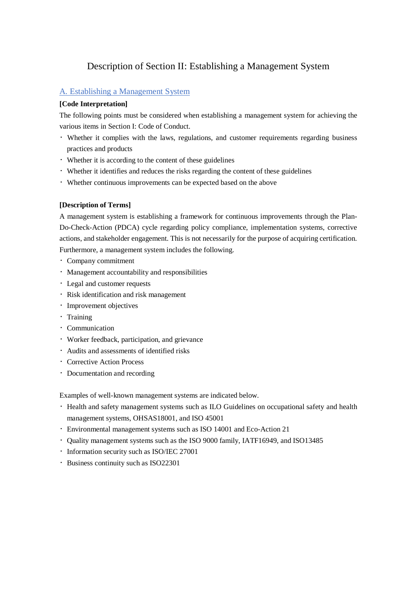# Description of Section II: Establishing a Management System

# A. Establishing a Management System

### **[Code Interpretation]**

The following points must be considered when establishing a management system for achieving the various items in Section I: Code of Conduct.

- ・Whether it complies with the laws, regulations, and customer requirements regarding business practices and products
- ・Whether it is according to the content of these guidelines
- ・Whether it identifies and reduces the risks regarding the content of these guidelines
- ・Whether continuous improvements can be expected based on the above

### **[Description of Terms]**

A management system is establishing a framework for continuous improvements through the Plan-Do-Check-Action (PDCA) cycle regarding policy compliance, implementation systems, corrective actions, and stakeholder engagement. This is not necessarily for the purpose of acquiring certification. Furthermore, a management system includes the following.

- ・Company commitment
- ・Management accountability and responsibilities
- ・Legal and customer requests
- ・Risk identification and risk management
- ・Improvement objectives
- ・Training
- ・Communication
- ・Worker feedback, participation, and grievance
- ・Audits and assessments of identified risks
- ・Corrective Action Process
- ・Documentation and recording

Examples of well-known management systems are indicated below.

- ・Health and safety management systems such as ILO Guidelines on occupational safety and health management systems, OHSAS18001, and ISO 45001
- ・Environmental management systems such as ISO 14001 and Eco-Action 21
- ・Quality management systems such as the ISO 9000 family, IATF16949, and ISO13485
- ・Information security such as ISO/IEC 27001
- ・Business continuity such as ISO22301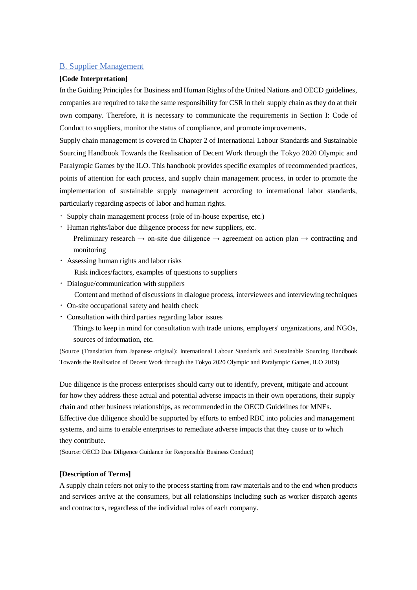# B. Supplier Management

#### **[Code Interpretation]**

In the Guiding Principles for Business and Human Rights of the United Nations and OECD guidelines, companies are required to take the same responsibility for CSR in their supply chain as they do at their own company. Therefore, it is necessary to communicate the requirements in Section I: Code of Conduct to suppliers, monitor the status of compliance, and promote improvements.

Supply chain management is covered in Chapter 2 of International Labour Standards and Sustainable Sourcing Handbook Towards the Realisation of Decent Work through the Tokyo 2020 Olympic and Paralympic Games by the ILO. This handbook provides specific examples of recommended practices, points of attention for each process, and supply chain management process, in order to promote the implementation of sustainable supply management according to international labor standards, particularly regarding aspects of labor and human rights.

- ・Supply chain management process (role of in-house expertise, etc.)
- ・Human rights/labor due diligence process for new suppliers, etc.
	- Preliminary research  $\rightarrow$  on-site due diligence  $\rightarrow$  agreement on action plan  $\rightarrow$  contracting and monitoring
- ・Assessing human rights and labor risks

Risk indices/factors, examples of questions to suppliers

- ・Dialogue/communication with suppliers
	- Content and method of discussions in dialogue process, interviewees and interviewing techniques
- ・On-site occupational safety and health check
- ・Consultation with third parties regarding labor issues

Things to keep in mind for consultation with trade unions, employers' organizations, and NGOs, sources of information, etc.

(Source (Translation from Japanese original): International Labour Standards and Sustainable Sourcing Handbook Towards the Realisation of Decent Work through the Tokyo 2020 Olympic and Paralympic Games, ILO 2019)

Due diligence is the process enterprises should carry out to identify, prevent, mitigate and account for how they address these actual and potential adverse impacts in their own operations, their supply chain and other business relationships, as recommended in the OECD Guidelines for MNEs. Effective due diligence should be supported by efforts to embed RBC into policies and management systems, and aims to enable enterprises to remediate adverse impacts that they cause or to which they contribute.

(Source: OECD Due Diligence Guidance for Responsible Business Conduct)

#### **[Description of Terms]**

A supply chain refers not only to the process starting from raw materials and to the end when products and services arrive at the consumers, but all relationships including such as worker dispatch agents and contractors, regardless of the individual roles of each company.